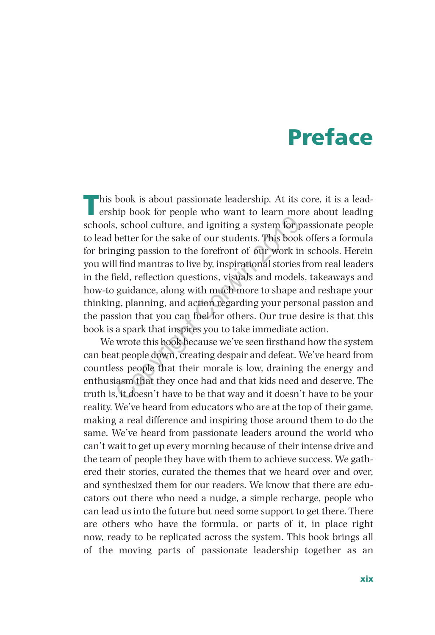# Preface

This book is about passionate leadership. At its core, it is a leadership book for people who want to learn more about leading schools, school culture, and igniting a system for passionate people to lead better for the sake of our students. This book offers a formula for bringing passion to the forefront of our work in schools. Herein you will find mantras to live by, inspirational stories from real leaders in the field, reflection questions, visuals and models, takeaways and how-to guidance, along with much more to shape and reshape your thinking, planning, and action regarding your personal passion and the passion that you can fuel for others. Our true desire is that this book is a spark that inspires you to take immediate action. is, school culture, and igniting a system for particle, school culture, and igniting a system for particle better for the sake of our students. This book ging passion to the forefront of our work in I find mantras to live

We wrote this book because we've seen firsthand how the system can beat people down, creating despair and defeat. We've heard from countless people that their morale is low, draining the energy and enthusiasm that they once had and that kids need and deserve. The truth is, it doesn't have to be that way and it doesn't have to be your reality. We've heard from educators who are at the top of their game, making a real difference and inspiring those around them to do the same. We've heard from passionate leaders around the world who can't wait to get up every morning because of their intense drive and the team of people they have with them to achieve success. We gathered their stories, curated the themes that we heard over and over, and synthesized them for our readers. We know that there are educators out there who need a nudge, a simple recharge, people who can lead us into the future but need some support to get there. There are others who have the formula, or parts of it, in place right now, ready to be replicated across the system. This book brings all of the moving parts of passionate leadership together as an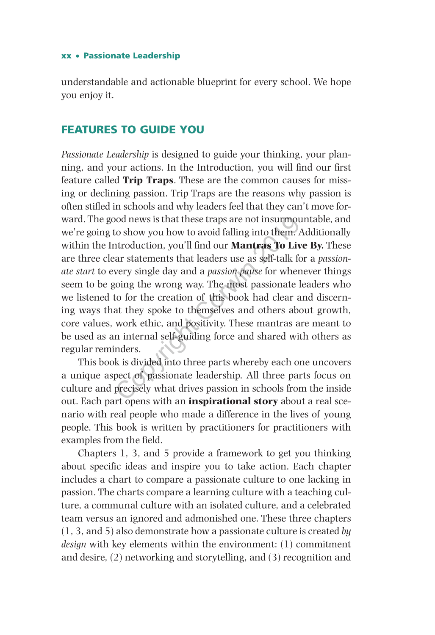#### xx • Passionate Leadership

understandable and actionable blueprint for every school. We hope you enjoy it.

### FEATURES TO GUIDE YOU

*Passionate Leadership* is designed to guide your thinking, your planning, and your actions. In the Introduction, you will find our first feature called **Trip Traps**. These are the common causes for missing or declining passion. Trip Traps are the reasons why passion is often stifled in schools and why leaders feel that they can't move forward. The good news is that these traps are not insurmountable, and we're going to show you how to avoid falling into them. Additionally within the Introduction, you'll find our **Mantras To Live By.** These are three clear statements that leaders use as self-talk for a *passionate start* to every single day and a *passion pause* for whenever things seem to be going the wrong way. The most passionate leaders who we listened to for the creation of this book had clear and discerning ways that they spoke to themselves and others about growth, core values, work ethic, and positivity. These mantras are meant to be used as an internal self-guiding force and shared with others as regular reminders. bood news is that these traps are not insurmour<br>to show you how to avoid falling into them. A<br>atroduction, you'll find our **Mantras To Live**<br>ar statements that leaders use as self-talk for<br>very single day and a *passion pa* 

This book is divided into three parts whereby each one uncovers a unique aspect of passionate leadership. All three parts focus on culture and precisely what drives passion in schools from the inside out. Each part opens with an **inspirational story** about a real scenario with real people who made a difference in the lives of young people. This book is written by practitioners for practitioners with examples from the field.

Chapters 1, 3, and 5 provide a framework to get you thinking about specific ideas and inspire you to take action. Each chapter includes a chart to compare a passionate culture to one lacking in passion. The charts compare a learning culture with a teaching culture, a communal culture with an isolated culture, and a celebrated team versus an ignored and admonished one. These three chapters (1, 3, and 5) also demonstrate how a passionate culture is created *by design* with key elements within the environment: (1) commitment and desire, (2) networking and storytelling, and (3) recognition and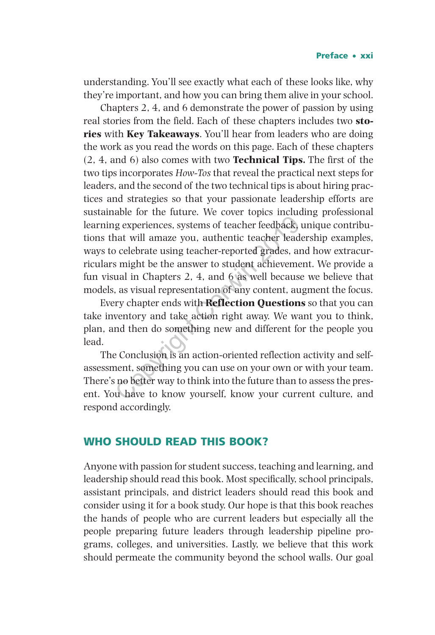understanding. You'll see exactly what each of these looks like, why they're important, and how you can bring them alive in your school.

Chapters 2, 4, and 6 demonstrate the power of passion by using real stories from the field. Each of these chapters includes two **stories** with **Key Takeaways**. You'll hear from leaders who are doing the work as you read the words on this page. Each of these chapters (2, 4, and 6) also comes with two **Technical Tips.** The first of the two tips incorporates *How-Tos* that reveal the practical next steps for leaders, and the second of the two technical tips is about hiring practices and strategies so that your passionate leadership efforts are sustainable for the future. We cover topics including professional learning experiences, systems of teacher feedback, unique contributions that will amaze you, authentic teacher leadership examples, ways to celebrate using teacher-reported grades, and how extracurriculars might be the answer to student achievement. We provide a fun visual in Chapters 2, 4, and 6 as well because we believe that models, as visual representation of any content, augment the focus. able for the tatal for the corre tepte theath<br>g experiences, systems of teacher feedback, u<br>at will amaze you, authentic teacher leader<br>o celebrate using teacher-reported grades, and<br>s might be the answer to student achiev

Every chapter ends with **Reflection Questions** so that you can take inventory and take action right away. We want you to think, plan, and then do something new and different for the people you lead.

The Conclusion is an action-oriented reflection activity and selfassessment, something you can use on your own or with your team. There's no better way to think into the future than to assess the present. You have to know yourself, know your current culture, and respond accordingly.

### WHO SHOULD READ THIS BOOK?

Anyone with passion for student success, teaching and learning, and leadership should read this book. Most specifically, school principals, assistant principals, and district leaders should read this book and consider using it for a book study. Our hope is that this book reaches the hands of people who are current leaders but especially all the people preparing future leaders through leadership pipeline programs, colleges, and universities. Lastly, we believe that this work should permeate the community beyond the school walls. Our goal